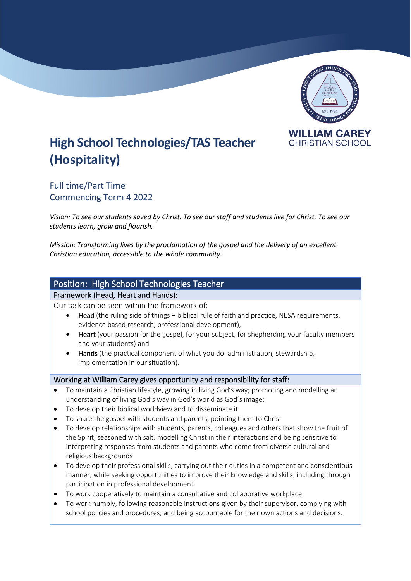

# **High School Technologies/TAS Teacher (Hospitality)**

Full time/Part Time Commencing Term 4 2022

*Vision: To see our students saved by Christ. To see our staff and students live for Christ. To see our students learn, grow and flourish.*

*Mission: Transforming lives by the proclamation of the gospel and the delivery of an excellent Christian education, accessible to the whole community.*

# Position: High School Technologies Teacher

#### Framework (Head, Heart and Hands):

Our task can be seen within the framework of:

- Head (the ruling side of things biblical rule of faith and practice, NESA requirements, evidence based research, professional development),
- **Heart** (your passion for the gospel, for your subject, for shepherding your faculty members and your students) and
- Hands (the practical component of what you do: administration, stewardship, implementation in our situation).

## Working at William Carey gives opportunity and responsibility for staff:

- To maintain a Christian lifestyle, growing in living God's way; promoting and modelling an understanding of living God's way in God's world as God's image;
- To develop their biblical worldview and to disseminate it
- To share the gospel with students and parents, pointing them to Christ
- To develop relationships with students, parents, colleagues and others that show the fruit of the Spirit, seasoned with salt, modelling Christ in their interactions and being sensitive to interpreting responses from students and parents who come from diverse cultural and religious backgrounds
- To develop their professional skills, carrying out their duties in a competent and conscientious manner, while seeking opportunities to improve their knowledge and skills, including through participation in professional development
- To work cooperatively to maintain a consultative and collaborative workplace
- To work humbly, following reasonable instructions given by their supervisor, complying with school policies and procedures, and being accountable for their own actions and decisions.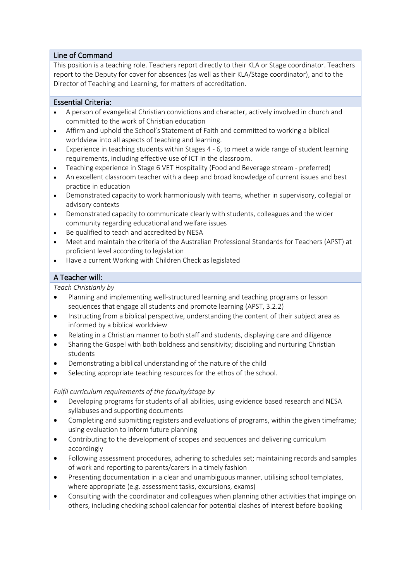## Line of Command

This position is a teaching role. Teachers report directly to their KLA or Stage coordinator. Teachers report to the Deputy for cover for absences (as well as their KLA/Stage coordinator), and to the Director of Teaching and Learning, for matters of accreditation.

## Essential Criteria:

- A person of evangelical Christian convictions and character, actively involved in church and committed to the work of Christian education
- Affirm and uphold the School's Statement of Faith and committed to working a biblical worldview into all aspects of teaching and learning.
- Experience in teaching students within Stages 4 6, to meet a wide range of student learning requirements, including effective use of ICT in the classroom.
- Teaching experience in Stage 6 VET Hospitality (Food and Beverage stream preferred)
- An excellent classroom teacher with a deep and broad knowledge of current issues and best practice in education
- Demonstrated capacity to work harmoniously with teams, whether in supervisory, collegial or advisory contexts
- Demonstrated capacity to communicate clearly with students, colleagues and the wider community regarding educational and welfare issues
- Be qualified to teach and accredited by NESA
- Meet and maintain the criteria of the Australian Professional Standards for Teachers (APST) at proficient level according to legislation
- Have a current Working with Children Check as legislated

## A Teacher will:

#### *Teach Christianly by*

- Planning and implementing well-structured learning and teaching programs or lesson sequences that engage all students and promote learning (APST, 3.2.2)
- Instructing from a biblical perspective, understanding the content of their subject area as informed by a biblical worldview
- Relating in a Christian manner to both staff and students, displaying care and diligence
- Sharing the Gospel with both boldness and sensitivity; discipling and nurturing Christian students
- Demonstrating a biblical understanding of the nature of the child
- Selecting appropriate teaching resources for the ethos of the school.

## *Fulfil curriculum requirements of the faculty/stage by*

- Developing programs for students of all abilities, using evidence based research and NESA syllabuses and supporting documents
- Completing and submitting registers and evaluations of programs, within the given timeframe; using evaluation to inform future planning
- Contributing to the development of scopes and sequences and delivering curriculum accordingly
- Following assessment procedures, adhering to schedules set; maintaining records and samples of work and reporting to parents/carers in a timely fashion
- Presenting documentation in a clear and unambiguous manner, utilising school templates, where appropriate (e.g. assessment tasks, excursions, exams)
- Consulting with the coordinator and colleagues when planning other activities that impinge on others, including checking school calendar for potential clashes of interest before booking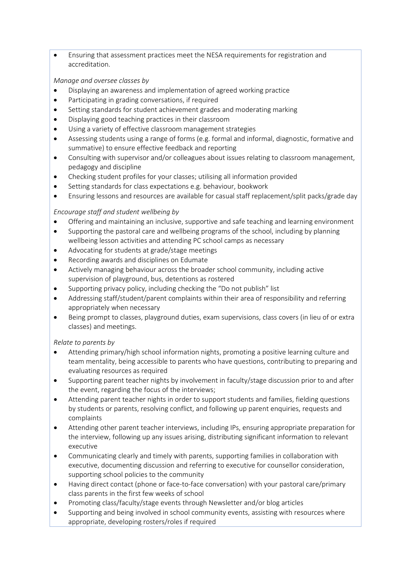• Ensuring that assessment practices meet the NESA requirements for registration and accreditation.

## *Manage and oversee classes by*

- Displaying an awareness and implementation of agreed working practice
- Participating in grading conversations, if required
- Setting standards for student achievement grades and moderating marking
- Displaying good teaching practices in their classroom
- Using a variety of effective classroom management strategies
- Assessing students using a range of forms (e.g. formal and informal, diagnostic, formative and summative) to ensure effective feedback and reporting
- Consulting with supervisor and/or colleagues about issues relating to classroom management, pedagogy and discipline
- Checking student profiles for your classes; utilising all information provided
- Setting standards for class expectations e.g. behaviour, bookwork
- Ensuring lessons and resources are available for casual staff replacement/split packs/grade day

## *Encourage staff and student wellbeing by*

- Offering and maintaining an inclusive, supportive and safe teaching and learning environment
- Supporting the pastoral care and wellbeing programs of the school, including by planning wellbeing lesson activities and attending PC school camps as necessary
- Advocating for students at grade/stage meetings
- Recording awards and disciplines on Edumate
- Actively managing behaviour across the broader school community, including active supervision of playground, bus, detentions as rostered
- Supporting privacy policy, including checking the "Do not publish" list
- Addressing staff/student/parent complaints within their area of responsibility and referring appropriately when necessary
- Being prompt to classes, playground duties, exam supervisions, class covers (in lieu of or extra classes) and meetings.

## *Relate to parents by*

- Attending primary/high school information nights, promoting a positive learning culture and team mentality, being accessible to parents who have questions, contributing to preparing and evaluating resources as required
- Supporting parent teacher nights by involvement in faculty/stage discussion prior to and after the event, regarding the focus of the interviews;
- Attending parent teacher nights in order to support students and families, fielding questions by students or parents, resolving conflict, and following up parent enquiries, requests and complaints
- Attending other parent teacher interviews, including IPs, ensuring appropriate preparation for the interview, following up any issues arising, distributing significant information to relevant executive
- Communicating clearly and timely with parents, supporting families in collaboration with executive, documenting discussion and referring to executive for counsellor consideration, supporting school policies to the community
- Having direct contact (phone or face-to-face conversation) with your pastoral care/primary class parents in the first few weeks of school
- Promoting class/faculty/stage events through Newsletter and/or blog articles
- Supporting and being involved in school community events, assisting with resources where appropriate, developing rosters/roles if required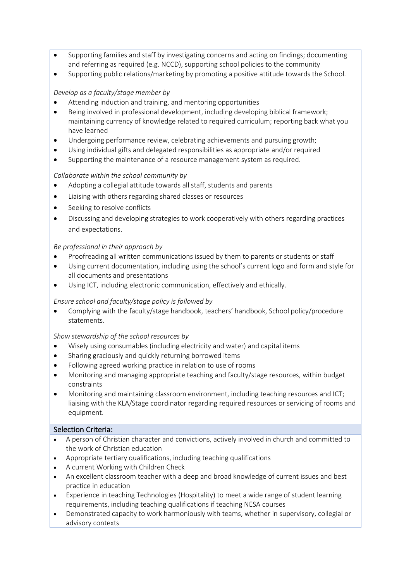- Supporting families and staff by investigating concerns and acting on findings; documenting and referring as required (e.g. NCCD), supporting school policies to the community
- Supporting public relations/marketing by promoting a positive attitude towards the School.

## *Develop as a faculty/stage member by*

- Attending induction and training, and mentoring opportunities
- Being involved in professional development, including developing biblical framework; maintaining currency of knowledge related to required curriculum; reporting back what you have learned
- Undergoing performance review, celebrating achievements and pursuing growth;
- Using individual gifts and delegated responsibilities as appropriate and/or required
- Supporting the maintenance of a resource management system as required.

## *Collaborate within the school community by*

- Adopting a collegial attitude towards all staff, students and parents
- Liaising with others regarding shared classes or resources
- Seeking to resolve conflicts
- Discussing and developing strategies to work cooperatively with others regarding practices and expectations.

## *Be professional in their approach by*

- Proofreading all written communications issued by them to parents or students or staff
- Using current documentation, including using the school's current logo and form and style for all documents and presentations
- Using ICT, including electronic communication, effectively and ethically.

## *Ensure school and faculty/stage policy is followed by*

• Complying with the faculty/stage handbook, teachers' handbook, School policy/procedure statements.

## *Show stewardship of the school resources by*

- Wisely using consumables (including electricity and water) and capital items
- Sharing graciously and quickly returning borrowed items
- Following agreed working practice in relation to use of rooms
- Monitoring and managing appropriate teaching and faculty/stage resources, within budget constraints
- Monitoring and maintaining classroom environment, including teaching resources and ICT; liaising with the KLA/Stage coordinator regarding required resources or servicing of rooms and equipment.

## Selection Criteria:

- A person of Christian character and convictions, actively involved in church and committed to the work of Christian education
- Appropriate tertiary qualifications, including teaching qualifications
- A current Working with Children Check
- An excellent classroom teacher with a deep and broad knowledge of current issues and best practice in education
- Experience in teaching Technologies (Hospitality) to meet a wide range of student learning requirements, including teaching qualifications if teaching NESA courses
- Demonstrated capacity to work harmoniously with teams, whether in supervisory, collegial or advisory contexts